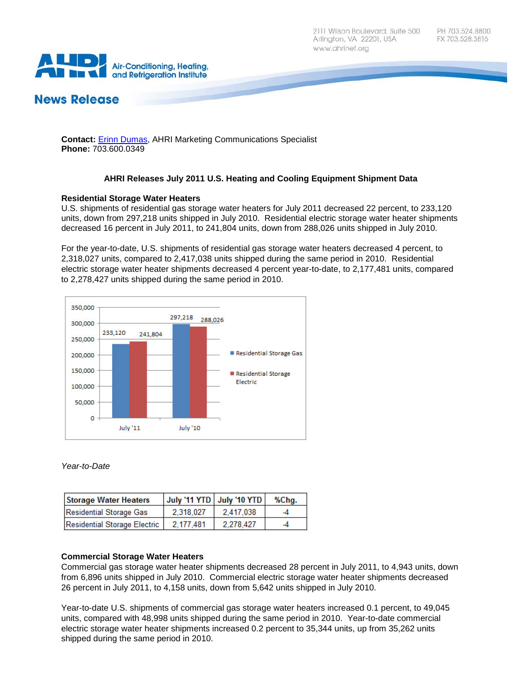

# **News Release**

**Contact:** [Erinn Dumas,](mailto:edumas@ahrinet.org) AHRI Marketing Communications Specialist **Phone:** 703.600.0349

# **AHRI Releases July 2011 U.S. Heating and Cooling Equipment Shipment Data**

## **Residential Storage Water Heaters**

U.S. shipments of residential gas storage water heaters for July 2011 decreased 22 percent, to 233,120 units, down from 297,218 units shipped in July 2010. Residential electric storage water heater shipments decreased 16 percent in July 2011, to 241,804 units, down from 288,026 units shipped in July 2010.

For the year-to-date, U.S. shipments of residential gas storage water heaters decreased 4 percent, to 2,318,027 units, compared to 2,417,038 units shipped during the same period in 2010. Residential electric storage water heater shipments decreased 4 percent year-to-date, to 2,177,481 units, compared to 2,278,427 units shipped during the same period in 2010.



## *Year-to-Date*

| <b>Storage Water Heaters</b> |           | July '11 YTD   July '10 YTD | %Chg. |
|------------------------------|-----------|-----------------------------|-------|
| Residential Storage Gas      | 2.318.027 | 2.417.038                   | -4    |
| Residential Storage Electric | 2.177.481 | 2.278.427                   | -4    |

## **Commercial Storage Water Heaters**

Commercial gas storage water heater shipments decreased 28 percent in July 2011, to 4,943 units, down from 6,896 units shipped in July 2010. Commercial electric storage water heater shipments decreased 26 percent in July 2011, to 4,158 units, down from 5,642 units shipped in July 2010.

Year-to-date U.S. shipments of commercial gas storage water heaters increased 0.1 percent, to 49,045 units, compared with 48,998 units shipped during the same period in 2010. Year-to-date commercial electric storage water heater shipments increased 0.2 percent to 35,344 units, up from 35,262 units shipped during the same period in 2010.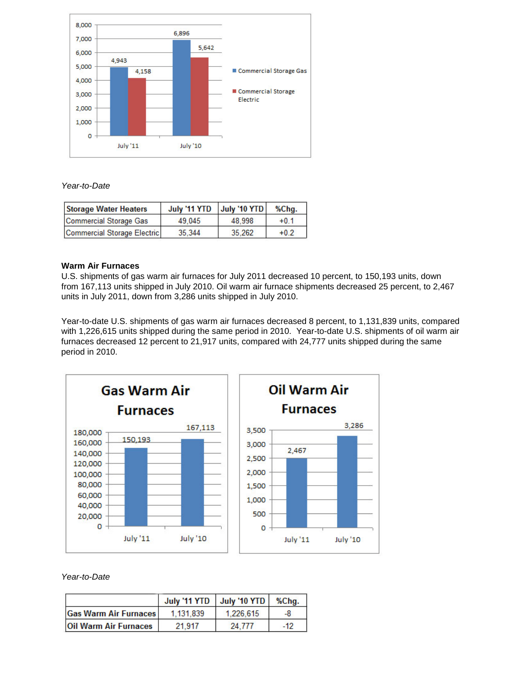

## *Year-to-Date*

| <b>Storage Water Heaters</b> | July '11 YTD July '10 YTD |        | %Cha.  |
|------------------------------|---------------------------|--------|--------|
| Commercial Storage Gas       | 49.045                    | 48.998 | $+0.1$ |
| Commercial Storage Electric  | 35.344                    | 35.262 | $+0.2$ |

#### **Warm Air Furnaces**

U.S. shipments of gas warm air furnaces for July 2011 decreased 10 percent, to 150,193 units, down from 167,113 units shipped in July 2010. Oil warm air furnace shipments decreased 25 percent, to 2,467 units in July 2011, down from 3,286 units shipped in July 2010.

Year-to-date U.S. shipments of gas warm air furnaces decreased 8 percent, to 1,131,839 units, compared with 1,226,615 units shipped during the same period in 2010. Year-to-date U.S. shipments of oil warm air furnaces decreased 12 percent to 21,917 units, compared with 24,777 units shipped during the same period in 2010.



## *Year-to-Date*

|                              | July '11 YTD | July '10 YTD | %Cha. |
|------------------------------|--------------|--------------|-------|
| <b>Gas Warm Air Furnaces</b> | 1.131.839    | 1.226.615    | -8    |
| <b>Oil Warm Air Furnaces</b> | 21.917       | 24 777       | $-12$ |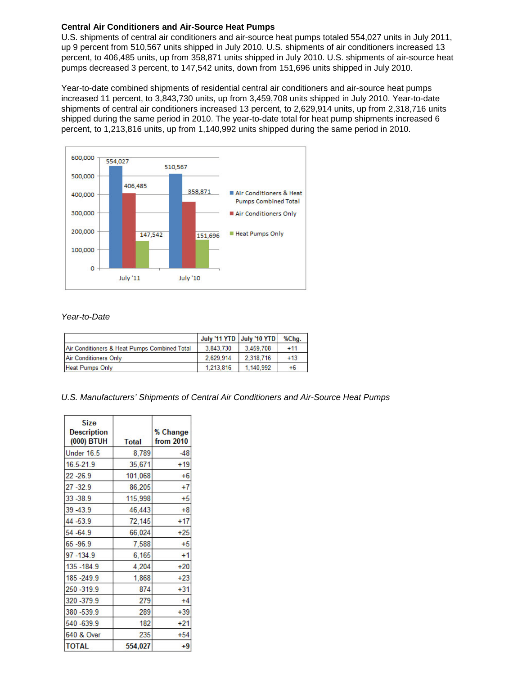# **Central Air Conditioners and Air-Source Heat Pumps**

U.S. shipments of central air conditioners and air-source heat pumps totaled 554,027 units in July 2011, up 9 percent from 510,567 units shipped in July 2010. U.S. shipments of air conditioners increased 13 percent, to 406,485 units, up from 358,871 units shipped in July 2010. U.S. shipments of air-source heat pumps decreased 3 percent, to 147,542 units, down from 151,696 units shipped in July 2010.

Year-to-date combined shipments of residential central air conditioners and air-source heat pumps increased 11 percent, to 3,843,730 units, up from 3,459,708 units shipped in July 2010. Year-to-date shipments of central air conditioners increased 13 percent, to 2,629,914 units, up from 2,318,716 units shipped during the same period in 2010. The year-to-date total for heat pump shipments increased 6 percent, to 1,213,816 units, up from 1,140,992 units shipped during the same period in 2010.



## *Year-to-Date*

|                                              | July '11 YTD   July '10 YTD |           | %Chq. |
|----------------------------------------------|-----------------------------|-----------|-------|
| Air Conditioners & Heat Pumps Combined Total | 3.843.730                   | 3.459.708 | $+11$ |
| Air Conditioners Only                        | 2.629.914                   | 2.318.716 | $+13$ |
| <b>Heat Pumps Only</b>                       | 1.213.816                   | 1.140.992 | $+6$  |

*U.S. Manufacturers' Shipments of Central Air Conditioners and Air-Source Heat Pumps*

| <b>Size</b><br><b>Description</b><br>(000) BTUH | <b>Total</b> | % Change<br><b>from 2010</b> |
|-------------------------------------------------|--------------|------------------------------|
| <b>Under 16.5</b>                               | 8,789        | $-48$                        |
| 16.5-21.9                                       | 35,671       | $+19$                        |
| $22 - 26.9$                                     | 101,068      | $+6$                         |
| $27 - 32.9$                                     | 86,205       | $+7$                         |
| 33 - 38.9                                       | 115,998      | +5                           |
| 39-43.9                                         | 46,443       | $+8$                         |
| 44 - 53.9                                       | 72,145       | $+17$                        |
| 54 - 64.9                                       | 66,024       | $+25$                        |
| 65-96.9                                         | 7,588        | $+5$                         |
| 97-134.9                                        | 6,165        | $+1$                         |
| 135 - 184.9                                     | 4,204        | $+20$                        |
| 185 - 249.9                                     | 1,868        | $+23$                        |
| 250 - 319.9                                     | 874          | $+31$                        |
| 320 - 379.9                                     | 279          | $+4$                         |
| 380 - 539.9                                     | 289          | $+39$                        |
| 540-639.9                                       | 182          | $+21$                        |
| 640 & Over                                      | 235          | $+54$                        |
| <b>TOTAL</b>                                    | 554,027      | $+9$                         |